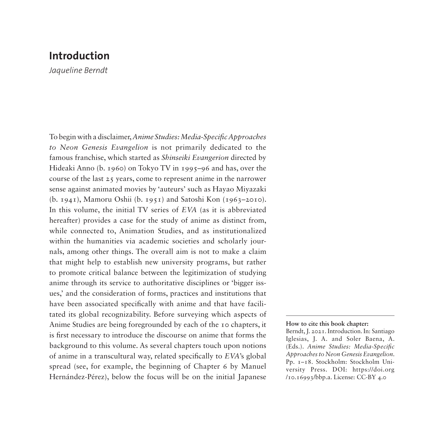*Jaqueline Berndt*

To begin with a disclaimer, *Anime Studies: Media-Specific Approaches to Neon Genesis Evangelion* is not primarily dedicated to the famous franchise, which started as *Shinseiki Evangerion* directed by Hideaki Anno (b. 1960) on Tokyo TV in 1995–96 and has, over the course of the last 25 years, come to represent anime in the narrower sense against animated movies by 'auteurs' such as Hayao Miyazaki (b. 1941), Mamoru Oshii (b. 1951) and Satoshi Kon (1963–2010). In this volume, the initial TV series of *EVA* (as it is abbreviated hereafter) provides a case for the study of anime as distinct from, while connected to, Animation Studies, and as institutionalized within the humanities via academic societies and scholarly journals, among other things. The overall aim is not to make a claim that might help to establish new university programs, but rather to promote critical balance between the legitimization of studying anime through its service to authoritative disciplines or 'bigger issues,' and the consideration of forms, practices and institutions that have been associated specifically with anime and that have facilitated its global recognizability. Before surveying which aspects of Anime Studies are being foregrounded by each of the 10 chapters, it is first necessary to introduce the discourse on anime that forms the background to this volume. As several chapters touch upon notions of anime in a transcultural way, related specifically to *EVA*'s global spread (see, for example, the beginning of Chapter 6 by Manuel Hernández-Pérez), below the focus will be on the initial Japanese

### **How to cite this book chapter:**

Berndt, J. 2021. Introduction. In: Santiago Iglesias, J. A. and Soler Baena, A. (Eds.). *Anime Studies: Media-Specific Approaches to Neon Genesis Evangelion*. Pp. 1–18. Stockholm: Stockholm University Press. DOI: [https://doi.org](https://doi.org/10.16993/bbp.a) [/10.16993/bbp.a.](https://doi.org/10.16993/bbp.a) License: CC-BY 4.0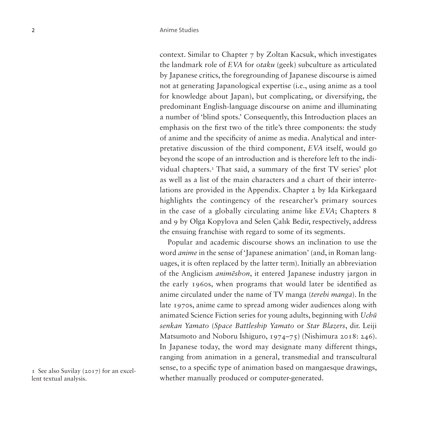context. Similar to Chapter 7 by Zoltan Kacsuk, which investigates the landmark role of *EVA* for *otaku* (geek) subculture as articulated by Japanese critics, the foregrounding of Japanese discourse is aimed not at generating Japanological expertise (i.e., using anime as a tool for knowledge about Japan), but complicating, or diversifying, the predominant English-language discourse on anime and illuminating a number of 'blind spots.' Consequently, this Introduction places an emphasis on the first two of the title's three components: the study of anime and the specificity of anime as media. Analytical and interpretative discussion of the third component, *EVA* itself, would go beyond the scope of an introduction and is therefore left to the individual chapters.[1](#page-1-0) That said, a summary of the first TV series' plot as well as a list of the main characters and a chart of their interrelations are provided in the Appendix. Chapter 2 by Ida Kirkegaard highlights the contingency of the researcher's primary sources in the case of a globally circulating anime like *EVA*; Chapters 8 and 9 by Olga Kopylova and Selen Çalık Bedir, respectively, address the ensuing franchise with regard to some of its segments.

Popular and academic discourse shows an inclination to use the word *anime* in the sense of 'Japanese animation' (and, in Roman languages, it is often replaced by the latter term). Initially an abbreviation of the Anglicism *animēshon*, it entered Japanese industry jargon in the early 1960s, when programs that would later be identified as anime circulated under the name of TV manga (*terebi manga*). In the late 1970s, anime came to spread among wider audiences along with animated Science Fiction series for young adults, beginning with *Uchū senkan Yamato* (*Space Battleship Yamato* or *Star Blazers*, dir. Leiji Matsumoto and Noboru Ishiguro, 1974–75) (Nishimura 2018: 246). In Japanese today, the word may designate many different things, ranging from animation in a general, transmedial and transcultural sense, to a specific type of animation based on mangaesque drawings, whether manually produced or computer-generated.

<span id="page-1-0"></span>1 See also Suvilay (2017) for an excellent textual analysis.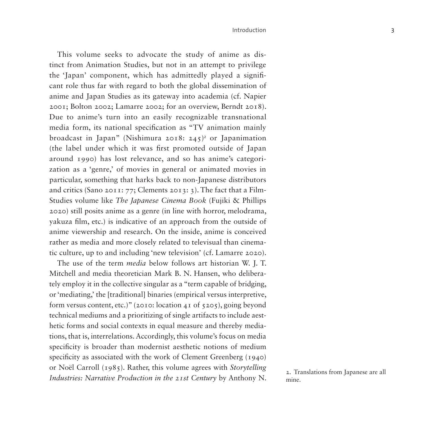This volume seeks to advocate the study of anime as distinct from Animation Studies, but not in an attempt to privilege the 'Japan' component, which has admittedly played a significant role thus far with regard to both the global dissemination of anime and Japan Studies as its gateway into academia (cf. Napier 2001; Bolton 2002; Lamarre 2002; for an overview, Berndt 2018). Due to anime's turn into an easily recognizable transnational media form, its national specification as "TV animation mainly broadcast in Japan" (Nishimura [2](#page-2-0)018: 245)<sup>2</sup> or Japanimation (the label under which it was first promoted outside of Japan around 1990) has lost relevance, and so has anime's categorization as a 'genre,' of movies in general or animated movies in particular, something that harks back to non-Japanese distributors and critics (Sano 2011: 77; Clements 2013: 3). The fact that a Film-Studies volume like *The Japanese Cinema Book* (Fujiki & Phillips 2020) still posits anime as a genre (in line with horror, melodrama, yakuza film, etc.) is indicative of an approach from the outside of anime viewership and research. On the inside, anime is conceived rather as media and more closely related to televisual than cinematic culture, up to and including 'new television' (cf. Lamarre 2020).

The use of the term *media* below follows art historian W. J. T. Mitchell and media theoretician Mark B. N. Hansen, who deliberately employ it in the collective singular as a "term capable of bridging, or 'mediating,' the [traditional] binaries (empirical versus interpretive, form versus content, etc.)" (2010: location 41 of  $\frac{205}{100}$ , going beyond technical mediums and a prioritizing of single artifacts to include aesthetic forms and social contexts in equal measure and thereby mediations, that is, interrelations. Accordingly, this volume's focus on media specificity is broader than modernist aesthetic notions of medium specificity as associated with the work of Clement Greenberg (1940) or Noël Carroll (1985). Rather, this volume agrees with *Storytelling Industries: Narrative Production in the 21st Century by Anthony N.* 2. Translations from Japanese are all *Industries: Narrative Production in the 21st Century by Anthony N.* 

<span id="page-2-0"></span>mine.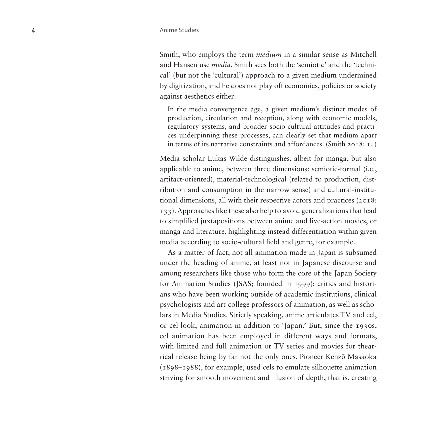Smith, who employs the term *medium* in a similar sense as Mitchell and Hansen use *media*. Smith sees both the 'semiotic' and the 'techni cal' (but not the 'cultural') approach to a given medium undermined by digitization, and he does not play off economics, policies or society against aesthetics either:

In the media convergence age, a given medium's distinct modes of production, circulation and reception, along with economic models, regulatory systems, and broader socio-cultural attitudes and practi ces underpinning these processes, can clearly set that medium apart in terms of its narrative constraints and affordances. (Smith 2018: 14)

Media scholar Lukas Wilde distinguishes, albeit for manga, but also applicable to anime, between three dimensions: semiotic-formal (i.e., artifact-oriented), material-technological (related to production, dist ribution and consumption in the narrow sense) and cultural-institu tional dimensions, all with their respective actors and practices (2018: 133). Approaches like these also help to avoid generalizations that lead to simplified juxtapositions between anime and live-action movies, or manga and literature, highlighting instead differentiation within given media according to socio-cultural field and genre, for example.

As a matter of fact, not all animation made in Japan is subsumed under the heading of anime, at least not in Japanese discourse and among researchers like those who form the core of the Japan Society for Animation Studies (JSAS; founded in 1999): critics and histori ans who have been working outside of academic institutions, clinical psychologists and art-college professors of animation, as well as scho lars in Media Studies. Strictly speaking, anime articulates TV and cel, or cel-look, animation in addition to 'Japan.' But, since the 1930s, cel animation has been employed in different ways and formats, with limited and full animation or TV series and movies for theat rical release being by far not the only ones. Pioneer Kenz ō Masaoka (1898–1988), for example, used cels to emulate silhouette animation striving for smooth movement and illusion of depth, that is, creating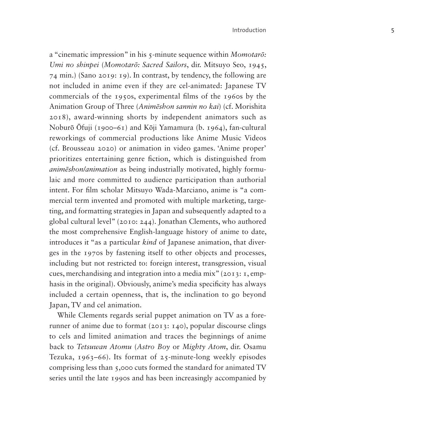a "cinematic impression" in his 5-minute sequence within *Momotar ō: Umi no shinpei*  (*Momotar ō: Sacred Sailors*, dir. Mitsuyo Seo, 1945, 74 min.) (Sano 2019: 19). In contrast, by tendency, the following are not included in anime even if they are cel-animated: Japanese TV commercials of the 1950s, experimental films of the 1960s by the Animation Group of Three (*Anim ēshon sannin no kai*) (cf. Morishita 2018), award-winning shorts by independent animators such as Nobur ō Ōfuji (1900–61) and K ōji Yamamura (b. 1964), fan-cultural reworkings of commercial productions like Anime Music Videos (cf. Brousseau 2020) or animation in video games. 'Anime proper' prioritizes entertaining genre fiction, which is distinguished from *anim ēshon/animation* as being industrially motivated, highly formu laic and more committed to audience participation than authorial intent. For film scholar Mitsuyo Wada-Marciano, anime is "a com mercial term invented and promoted with multiple marketing, targe ting, and formatting strategies in Japan and subsequently adapted to a global cultural level" (2010: 244). Jonathan Clements, who authored the most comprehensive English-language history of anime to date, introduces it "as a particular *kind* of Japanese animation, that diver ges in the 1970s by fastening itself to other objects and processes, including but not restricted to: foreign interest, transgression, visual cues, merchandising and integration into a media mix" (2013: 1, emp hasis in the original). Obviously, anime's media specificity has always included a certain openness, that is, the inclination to go beyond Japan, TV and cel animation.

While Clements regards serial puppet animation on TV as a fore runner of anime due to format (2013: 140), popular discourse clings to cels and limited animation and traces the beginnings of anime back to *Tetsuwan Atomu* (*Astro Boy* or *Mighty Atom*, dir. Osamu Tezuka, 1963–66). Its format of 25-minute-long weekly episodes comprising less than 5,000 cuts formed the standard for animated TV series until the late 1990s and has been increasingly accompanied by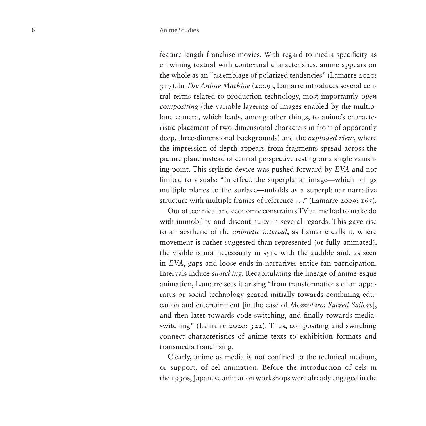feature-length franchise movies. With regard to media specificity as entwining textual with contextual characteristics, anime appears on the whole as an "assemblage of polarized tendencies" (Lamarre 2020: 317). In *The Anime Machine* (2009), Lamarre introduces several central terms related to production technology, most importantly *open compositing* (the variable layering of images enabled by the multiplane camera, which leads, among other things, to anime's characteristic placement of two-dimensional characters in front of apparently deep, three-dimensional backgrounds) and the *exploded view*, where the impression of depth appears from fragments spread across the picture plane instead of central perspective resting on a single vanishing point. This stylistic device was pushed forward by *EVA* and not limited to visuals: "In effect, the superplanar image—which brings multiple planes to the surface—unfolds as a superplanar narrative structure with multiple frames of reference . . ." (Lamarre 2009: 165).

Out of technical and economic constraints TV anime had to make do with immobility and discontinuity in several regards. This gave rise to an aesthetic of the *animetic interval*, as Lamarre calls it, where movement is rather suggested than represented (or fully animated), the visible is not necessarily in sync with the audible and, as seen in *EVA*, gaps and loose ends in narratives entice fan participation. Intervals induce *switching*. Recapitulating the lineage of anime-esque animation, Lamarre sees it arising "from transformations of an apparatus or social technology geared initially towards combining education and entertainment [in the case of *Momotarō: Sacred Sailors*], and then later towards code-switching, and finally towards mediaswitching" (Lamarre 2020: 322). Thus, compositing and switching connect characteristics of anime texts to exhibition formats and transmedia franchising.

Clearly, anime as media is not confined to the technical medium, or support, of cel animation. Before the introduction of cels in the 1930s, Japanese animation workshops were already engaged in the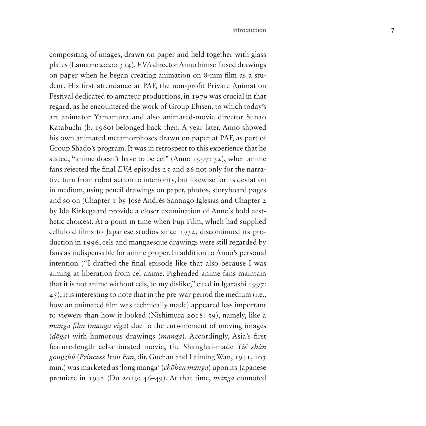compositing of images, drawn on paper and held together with glass plates (Lamarre 2020: 314). *EVA* director Anno himself used drawings on paper when he began creating animation on 8-mm film as a stu dent. His first attendance at PAF, the non-profit Private Animation Festival dedicated to amateur productions, in 1979 was crucial in that regard, as he encountered the work of Group Ebisen, to which today's art animator Yamamura and also animated-movie director Sunao Katabuchi (b. 1960) belonged back then. A year later, Anno showed his own animated metamorphoses drawn on paper at PAF, as part of Group Shado's program. It was in retrospect to this experience that he stated, "anime doesn't have to be cel" (Anno 1997: 32), when anime fans rejected the final *EVA* episodes 25 and 26 not only for the narra tive turn from robot action to interiority, but likewise for its deviation in medium, using pencil drawings on paper, photos, storyboard pages and so on (Chapter 1 by José Andrés Santiago Iglesias and Chapter 2 by Ida Kirkegaard provide a closer examination of Anno's bold aest hetic choices). At a point in time when Fuji Film, which had supplied celluloid films to Japanese studios since 1934, discontinued its pro duction in 1996, cels and mangaesque drawings were still regarded by fans as indispensable for anime proper. In addition to Anno's personal intention ("I drafted the final episode like that also because I was aiming at liberation from cel anime. Pigheaded anime fans maintain that it is not anime without cels, to my dislike," cited in Igarashi 1997: 45), it is interesting to note that in the pre-war period the medium (i.e., how an animated film was technically made) appeared less important to viewers than how it looked (Nishimura 2018: 59), namely, like a *manga film* (*manga eiga*) due to the entwinement of moving images (*<sup>d</sup>ōga*) with humorous drawings (*manga*). Accordingly, Asia's first feature-length cel-animated movie, the Shanghai-made *Ti ě shàn g ōngzh ǔ* (*Princess Iron Fan*, dir. Guchan and Laiming Wan, 1941, 103 min.) was marketed as 'long manga' (*ch ōhen manga*) upon its Japanese premiere in 1942 (Du 2019: 46–49). At that time, *manga* connoted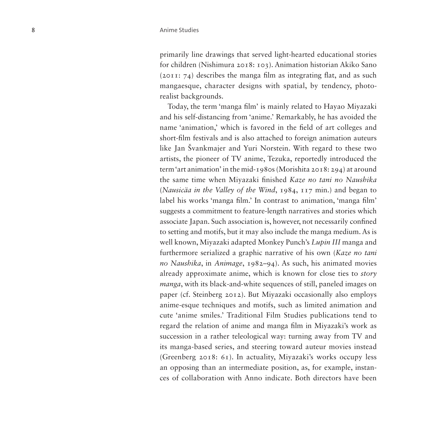primarily line drawings that served light-hearted educational stories for children (Nishimura 2018: 103). Animation historian Akiko Sano (2011: 74) describes the manga film as integrating flat, and as such mangaesque, character designs with spatial, by tendency, photorealist backgrounds.

Today, the term 'manga film' is mainly related to Hayao Miyazaki and his self-distancing from 'anime.' Remarkably, he has avoided the name 'animation,' which is favored in the field of art colleges and short-film festivals and is also attached to foreign animation auteurs like Jan Švankmajer and Yuri Norstein. With regard to these two artists, the pioneer of TV anime, Tezuka, reportedly introduced the term 'art animation' in the mid-1980s (Morishita 2018: 294) at around the same time when Miyazaki finished *Kaze no tani no Naushika* (*Nausicäa in the Valley of the Wind*, 1984, 117 min.) and began to label his works 'manga film.' In contrast to animation, 'manga film' suggests a commitment to feature-length narratives and stories which associate Japan. Such association is, however, not necessarily confined to setting and motifs, but it may also include the manga medium. As is well known, Miyazaki adapted Monkey Punch's *Lupin III* manga and furthermore serialized a graphic narrative of his own (*Kaze no tani no Naushika*, in *Animage*, 1982–94). As such, his animated movies already approximate anime, which is known for close ties to *story manga*, with its black-and-white sequences of still, paneled images on paper (cf. Steinberg 2012). But Miyazaki occasionally also employs anime-esque techniques and motifs, such as limited animation and cute 'anime smiles.' Traditional Film Studies publications tend to regard the relation of anime and manga film in Miyazaki's work as succession in a rather teleological way: turning away from TV and its manga-based series, and steering toward auteur movies instead (Greenberg 2018: 61). In actuality, Miyazaki's works occupy less an opposing than an intermediate position, as, for example, instan ces of collaboration with Anno indicate. Both directors have been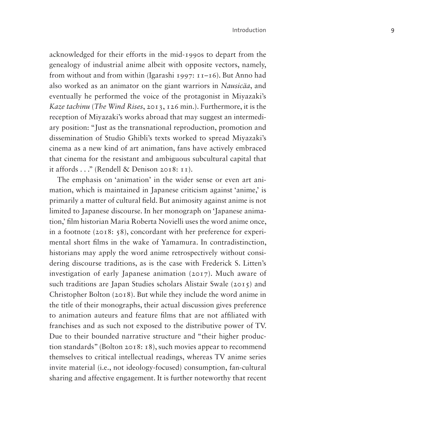acknowledged for their efforts in the mid-1990s to depart from the genealogy of industrial anime albeit with opposite vectors, namely, from without and from within (Igarashi 1997: 11–16). But Anno had also worked as an animator on the giant warriors in *Nausicäa*, and eventually he performed the voice of the protagonist in Miyazaki's *Kaze tachinu* (*The Wind Rises*, 2013, 126 min.). Furthermore, it is the reception of Miyazaki's works abroad that may suggest an intermedi ary position: "Just as the transnational reproduction, promotion and dissemination of Studio Ghibli's texts worked to spread Miyazaki's cinema as a new kind of art animation, fans have actively embraced that cinema for the resistant and ambiguous subcultural capital that it affords . . ." (Rendell & Denison 2018: 11).

The emphasis on 'animation' in the wider sense or even art ani mation, which is maintained in Japanese criticism against 'anime,' is primarily a matter of cultural field. But animosity against anime is not limited to Japanese discourse. In her monograph on 'Japanese anima tion,' film historian Maria Roberta Novielli uses the word anime once, in a footnote (2018: 58), concordant with her preference for experi mental short films in the wake of Yamamura. In contradistinction, historians may apply the word anime retrospectively without consi dering discourse traditions, as is the case with Frederick S. Litten's investigation of early Japanese animation (2017). Much aware of such traditions are Japan Studies scholars Alistair Swale (2015) and Christopher Bolton (2018). But while they include the word anime in the title of their monographs, their actual discussion gives preference to animation auteurs and feature films that are not affiliated with franchises and as such not exposed to the distributive power of TV. Due to their bounded narrative structure and "their higher produc tion standards" (Bolton 2018: 18), such movies appear to recommend themselves to critical intellectual readings, whereas TV anime series invite material (i.e., not ideology-focused) consumption, fan-cultural sharing and affective engagement. It is further noteworthy that recent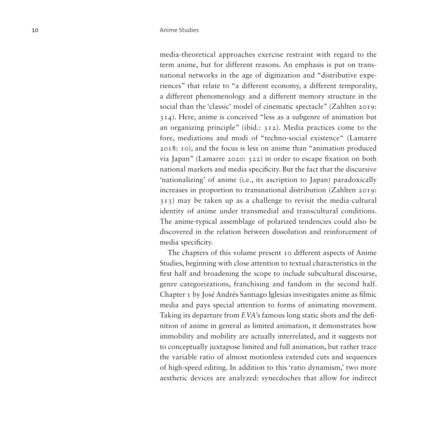media-theoretical approaches exercise restraint with regard to the term anime, but for different reasons. An emphasis is put on transnational networks in the age of digitization and "distributive experiences" that relate to "a different economy, a different temporality, a different phenomenology and a different memory structure in the social than the 'classic' model of cinematic spectacle" (Zahlten 2019: 314). Here, anime is conceived "less as a subgenre of animation but an organizing principle" (ibid.: 312). Media practices come to the fore, mediations and modi of "techno-social existence" (Lamarre 2018: 10), and the focus is less on anime than "animation produced via Japan" (Lamarre 2020: 322) in order to escape fixation on both national markets and media specificity. But the fact that the discursive 'nationalizing' of anime (i.e., its ascription to Japan) paradoxically increases in proportion to transnational distribution (Zahlten 2019: 313) may be taken up as a challenge to revisit the media-cultural identity of anime under transmedial and transcultural conditions. The anime-typical assemblage of polarized tendencies could also be discovered in the relation between dissolution and reinforcement of media specificity.

The chapters of this volume present 10 different aspects of Anime Studies, beginning with close attention to textual characteristics in the first half and broadening the scope to include subcultural discourse, genre categorizations, franchising and fandom in the second half. Chapter 1 by José Andrés Santiago Iglesias investigates anime as filmic media and pays special attention to forms of animating movement. Taking its departure from *EVA*'s famous long static shots and the definition of anime in general as limited animation, it demonstrates how immobility and mobility are actually interrelated, and it suggests not to conceptually juxtapose limited and full animation, but rather trace the variable ratio of almost motionless extended cuts and sequences of high-speed editing. In addition to this 'ratio dynamism,' two more aesthetic devices are analyzed: synecdoches that allow for indirect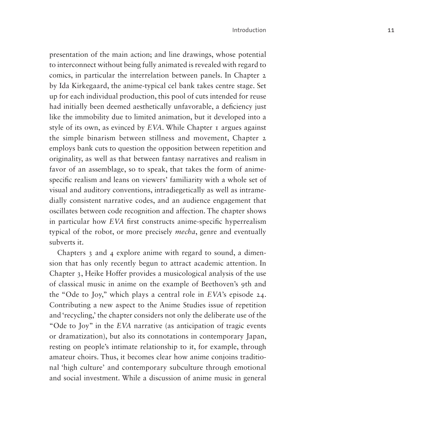presentation of the main action; and line drawings, whose potential to interconnect without being fully animated is revealed with regard to comics, in particular the interrelation between panels. In Chapter 2 by Ida Kirkegaard, the anime-typical cel bank takes centre stage. Set up for each individual production, this pool of cuts intended for reuse had initially been deemed aesthetically unfavorable, a deficiency just like the immobility due to limited animation, but it developed into a style of its own, as evinced by *EVA*. While Chapter 1 argues against the simple binarism between stillness and movement, Chapter 2 employs bank cuts to question the opposition between repetition and originality, as well as that between fantasy narratives and realism in favor of an assemblage, so to speak, that takes the form of animespecific realism and leans on viewers' familiarity with a whole set of visual and auditory conventions, intradiegetically as well as intramedially consistent narrative codes, and an audience engagement that oscillates between code recognition and affection. The chapter shows in particular how *EVA* first constructs anime-specific hyperrealism typical of the robot, or more precisely *mecha*, genre and eventually subverts it.

Chapters 3 and 4 explore anime with regard to sound, a dimension that has only recently begun to attract academic attention. In Chapter 3, Heike Hoffer provides a musicological analysis of the use of classical music in anime on the example of Beethoven's 9th and the "Ode to Joy," which plays a central role in *EVA*'s episode 24. Contributing a new aspect to the Anime Studies issue of repetition and 'recycling,' the chapter considers not only the deliberate use of the "Ode to Joy" in the *EVA* narrative (as anticipation of tragic events or dramatization), but also its connotations in contemporary Japan, resting on people's intimate relationship to it, for example, through amateur choirs. Thus, it becomes clear how anime conjoins traditional 'high culture' and contemporary subculture through emotional and social investment. While a discussion of anime music in general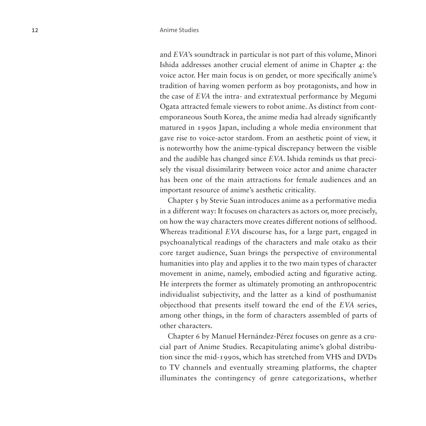and *EVA*'s soundtrack in particular is not part of this volume, Minori Ishida addresses another crucial element of anime in Chapter 4: the voice actor. Her main focus is on gender, or more specifically anime's tradition of having women perform as boy protagonists, and how in the case of *EVA* the intra- and extratextual performance by Megumi Ogata attracted female viewers to robot anime. As distinct from contemporaneous South Korea, the anime media had already significantly matured in 1990s Japan, including a whole media environment that gave rise to voice-actor stardom. From an aesthetic point of view, it is noteworthy how the anime-typical discrepancy between the visible and the audible has changed since *EVA*. Ishida reminds us that precisely the visual dissimilarity between voice actor and anime character has been one of the main attractions for female audiences and an important resource of anime's aesthetic criticality.

Chapter 5 by Stevie Suan introduces anime as a performative media in a different way: It focuses on characters as actors or, more precisely, on how the way characters move creates different notions of selfhood. Whereas traditional *EVA* discourse has, for a large part, engaged in psychoanalytical readings of the characters and male otaku as their core target audience, Suan brings the perspective of environmental humanities into play and applies it to the two main types of character movement in anime, namely, embodied acting and figurative acting. He interprets the former as ultimately promoting an anthropocentric individualist subjectivity, and the latter as a kind of posthumanist objecthood that presents itself toward the end of the *EVA* series, among other things, in the form of characters assembled of parts of other characters.

Chapter 6 by Manuel Hernández-Pérez focuses on genre as a crucial part of Anime Studies. Recapitulating anime's global distribution since the mid-1990s, which has stretched from VHS and DVDs to TV channels and eventually streaming platforms, the chapter illuminates the contingency of genre categorizations, whether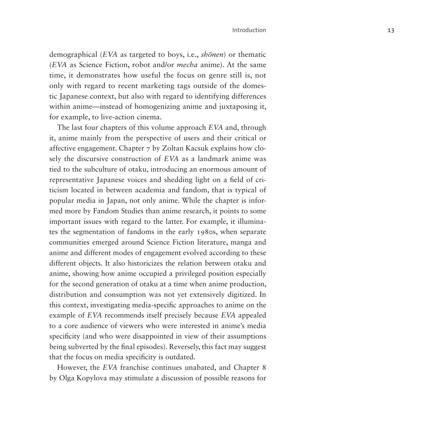demographical (*EVA* as targeted to boys, i.e., *shōnen*) or thematic (*EVA* as Science Fiction, robot and/or *mecha* anime). At the same time, it demonstrates how useful the focus on genre still is, not only with regard to recent marketing tags outside of the domestic Japanese context, but also with regard to identifying differences within anime—instead of homogenizing anime and juxtaposing it, for example, to live-action cinema.

The last four chapters of this volume approach *EVA* and, through it, anime mainly from the perspective of users and their critical or affective engagement. Chapter 7 by Zoltan Kacsuk explains how closely the discursive construction of *EVA* as a landmark anime was tied to the subculture of otaku, introducing an enormous amount of representative Japanese voices and shedding light on a field of criticism located in between academia and fandom, that is typical of popular media in Japan, not only anime. While the chapter is informed more by Fandom Studies than anime research, it points to some important issues with regard to the latter. For example, it illuminates the segmentation of fandoms in the early 1980s, when separate communities emerged around Science Fiction literature, manga and anime and different modes of engagement evolved according to these different objects. It also historicizes the relation between otaku and anime, showing how anime occupied a privileged position especially for the second generation of otaku at a time when anime production, distribution and consumption was not yet extensively digitized. In this context, investigating media-specific approaches to anime on the example of *EVA* recommends itself precisely because *EVA* appealed to a core audience of viewers who were interested in anime's media specificity (and who were disappointed in view of their assumptions being subverted by the final episodes). Reversely, this fact may suggest that the focus on media specificity is outdated.

However, the *EVA* franchise continues unabated, and Chapter 8 by Olga Kopylova may stimulate a discussion of possible reasons for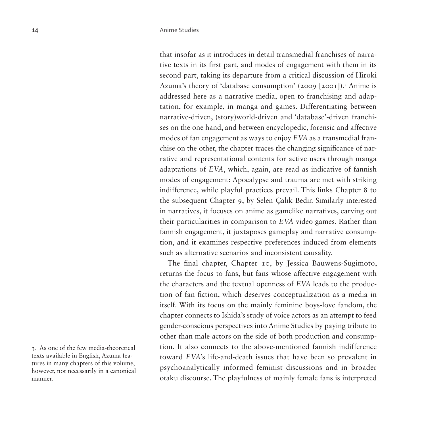that insofar as it introduces in detail transmedial franchises of narrative texts in its first part, and modes of engagement with them in its second part, taking its departure from a critical discussion of Hiroki Azuma's theory of 'database consumption' (2009 [2001]).<sup>[3](#page-13-0)</sup> Anime is addressed here as a narrative media, open to franchising and adaptation, for example, in manga and games. Differentiating between narrative-driven, (story)world-driven and 'database'-driven franchises on the one hand, and between encyclopedic, forensic and affective modes of fan engagement as ways to enjoy *EVA* as a transmedial franchise on the other, the chapter traces the changing significance of narrative and representational contents for active users through manga adaptations of *EVA*, which, again, are read as indicative of fannish modes of engagement: Apocalypse and trauma are met with striking indifference, while playful practices prevail. This links Chapter 8 to the subsequent Chapter 9, by Selen Çalık Bedir. Similarly interested in narratives, it focuses on anime as gamelike narratives, carving out their particularities in comparison to *EVA* video games. Rather than fannish engagement, it juxtaposes gameplay and narrative consumption, and it examines respective preferences induced from elements such as alternative scenarios and inconsistent causality.

The final chapter, Chapter 10, by Jessica Bauwens-Sugimoto, returns the focus to fans, but fans whose affective engagement with the characters and the textual openness of *EVA* leads to the production of fan fiction, which deserves conceptualization as a media in itself. With its focus on the mainly feminine boys-love fandom, the chapter connects to Ishida's study of voice actors as an attempt to feed gender-conscious perspectives into Anime Studies by paying tribute to other than male actors on the side of both production and consumption. It also connects to the above-mentioned fannish indifference toward *EVA*'s life-and-death issues that have been so prevalent in psychoanalytically informed feminist discussions and in broader otaku discourse. The playfulness of mainly female fans is interpreted

<span id="page-13-0"></span><sup>3.</sup> As one of the few media-theoretical texts available in English, Azuma features in many chapters of this volume, however, not necessarily in a canonical manner.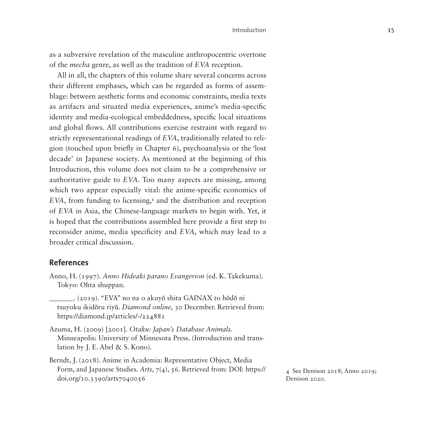as a subversive revelation of the masculine anthropocentric overtone of the *mecha* genre, as well as the tradition of *EVA* reception.

All in all, the chapters of this volume share several concerns across their different emphases, which can be regarded as forms of assemblage: between aesthetic forms and economic constraints, media texts as artifacts and situated media experiences, anime's media-specific identity and media-ecological embeddedness, specific local situations and global flows. All contributions exercise restraint with regard to strictly representational readings of *EVA*, traditionally related to religion (touched upon briefly in Chapter 6), psychoanalysis or the 'lost decade' in Japanese society. As mentioned at the beginning of this Introduction, this volume does not claim to be a comprehensive or authoritative guide to *EVA*. Too many aspects are missing, among which two appear especially vital: the anime-specific economics of EVA, from funding to licensing,<sup>[4](#page-14-0)</sup> and the distribution and reception of *EVA* in Asia, the Chinese-language markets to begin with. Yet, it is hoped that the contributions assembled here provide a first step to reconsider anime, media specificity and *EVA*, which may lead to a broader critical discussion.

# **References**

- Anno, H. (1997). *Anno Hideaki parano Evangerion* (ed. K. Takekuma). Tokyo: Ohta shuppan.
	- \_\_\_\_\_\_\_. (2019). "EVA" no na o akuyō shita GAINAX to hōdō ni tsuyoku ikidōru riyū. *Diamond online*, 30 December. Retrieved from: <https://diamond.jp/articles/-/224881>
- Azuma, H. (2009) [2001]. *Otaku: Japan's Database Animals*. Minneapolis: University of Minnesota Press. (Introduction and translation by J. E. Abel & S. Kono).
- Berndt, J. (2018). Anime in Academia: Representative Object, Media Form, and Japanese Studies. *Arts*, 7(4), 56. Retrieved from: DOI: [https://](https://doi.org/10.3390/arts7040056) [doi.org/10.3390/arts7040056](https://doi.org/10.3390/arts7040056)

<span id="page-14-0"></span>4 See Denison 2018; Anno 2019; Denison 2020.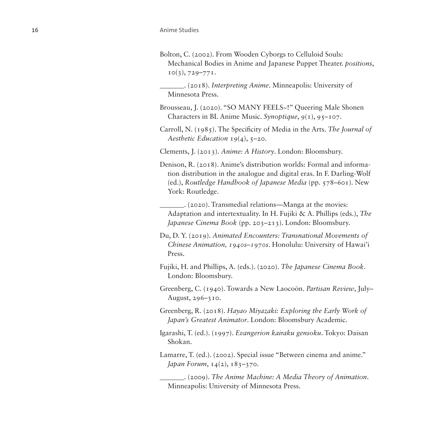Bolton, C. (2002). From Wooden Cyborgs to Celluloid Souls: Mechanical Bodies in Anime and Japanese Puppet Theater. *positions*,  $10(3), 729 - 771.$ 

\_\_\_\_\_\_\_. (2018). *Interpreting Anime*. Minneapolis: University of Minnesota Press.

Brousseau, J. (2020). "SO MANY FEELS~!" Queering Male Shonen Characters in BL Anime Music. *Synoptique*, 9(1), 95–107.

Carroll, N. (1985). The Specificity of Media in the Arts. *The Journal of Aesthetic Education* 19(4), 5–20.

Clements, J. (2013). *Anime: A History*. London: Bloomsbury.

Denison, R. (2018). Anime's distribution worlds: Formal and information distribution in the analogue and digital eras. In F. Darling-Wolf (ed.), *Routledge Handbook of Japanese Media* (pp. 578–601). New York: Routledge.

\_\_\_\_\_\_\_. (2020). Transmedial relations—Manga at the movies: Adaptation and intertextuality. In H. Fujiki & A. Phillips (eds.), *The Japanese Cinema Book* (pp. 203–213). London: Bloomsbury.

- Du, D. Y. (2019). *Animated Encounters: Transnational Movements of Chinese Animation, 1940s–1970s*. Honolulu: University of Hawai'i Press.
- Fujiki, H. and Phillips, A. (eds.). (2020). *The Japanese Cinema Book*. London: Bloomsbury.

Greenberg, C. (1940). Towards a New Laocoön. *Partisan Review*, July– August, 296–310.

- Greenberg, R. (2018). *Hayao Miyazaki: Exploring the Early Work of Japan's Greatest Animator*. London: Bloomsbury Academic.
- Igarashi, T. (ed.). (1997). *Evangerion kairaku gensoku*. Tokyo: Daisan Shokan.

Lamarre, T. (ed.). (2002). Special issue "Between cinema and anime." *Japan Forum*, 14(2), 183–370.

\_\_\_\_\_\_\_. (2009). *The Anime Machine: A Media Theory of Animation*. Minneapolis: University of Minnesota Press.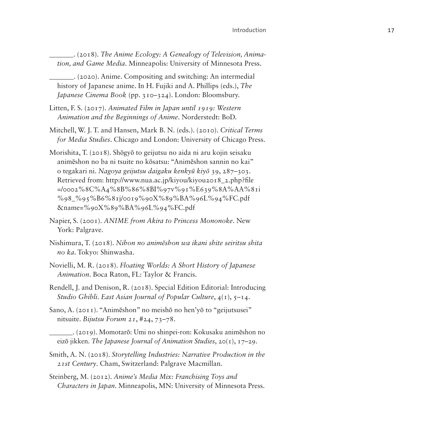\_\_\_\_\_\_\_. (2018). *The Anime Ecology: A Genealogy of Television, Animation, and Game Media*. Minneapolis: University of Minnesota Press.

\_\_\_\_\_\_\_. (2020). Anime. Compositing and switching: An intermedial history of Japanese anime. In H. Fujiki and A. Phillips (eds.), *The Japanese Cinema Book* (pp. 310–324). London: Bloomsbury.

- Litten, F. S. (2017). *Animated Film in Japan until 1919: Western Animation and the Beginnings of Anime*. Norderstedt: BoD.
- Mitchell, W. J. T. and Hansen, Mark B. N. (eds.). (2010). *Critical Terms for Media Studies*. Chicago and London: University of Chicago Press.

Morishita, T. (2018). Shōgyō to geijutsu no aida ni aru kojin seisaku animēshon no ba ni tsuite no kōsatsu: "Animēshon sannin no kai" o tegakari ni. *Nagoya geijutsu daigaku kenkyū kiyō* 39, 287–303. Retrieved from: [http://www.nua.ac.jp/kiyou/kiyou2018\\_2.php?file](http://www.nua.ac.jp/kiyou/kiyou2018_2.php?file=/0002%8C%A4%8B%86%8BI%97v%91%E639%8A%AA%81i%98_%95%B6%81j/0019%90X%89%BA%96L%94%FC.pdf&name=%90X%89%BA%96L%94%FC.pdf) [=/0002%8C%A4%8B%86%8BI%97v%91%E639%8A%AA%81i](http://www.nua.ac.jp/kiyou/kiyou2018_2.php?file=/0002%8C%A4%8B%86%8BI%97v%91%E639%8A%AA%81i%98_%95%B6%81j/0019%90X%89%BA%96L%94%FC.pdf&name=%90X%89%BA%96L%94%FC.pdf) [%98\\_%95%B6%81j/0019%90X%89%BA%96L%94%FC.pdf](http://www.nua.ac.jp/kiyou/kiyou2018_2.php?file=/0002%8C%A4%8B%86%8BI%97v%91%E639%8A%AA%81i%98_%95%B6%81j/0019%90X%89%BA%96L%94%FC.pdf&name=%90X%89%BA%96L%94%FC.pdf) [&name=%90X%89%BA%96L%94%FC.pdf](http://www.nua.ac.jp/kiyou/kiyou2018_2.php?file=/0002%8C%A4%8B%86%8BI%97v%91%E639%8A%AA%81i%98_%95%B6%81j/0019%90X%89%BA%96L%94%FC.pdf&name=%90X%89%BA%96L%94%FC.pdf)

- Napier, S. (2001). *ANIME from Akira to Princess Mononoke*. New York: Palgrave.
- Nishimura, T. (2018). *Nihon no animēshon wa ikani shite seiritsu shita no ka*. Tokyo: Shinwasha.
- Novielli, M. R. (2018). *Floating Worlds: A Short History of Japanese Animation*. Boca Raton, FL: Taylor & Francis.
- Rendell, J. and Denison, R. (2018). Special Edition Editorial: Introducing *Studio Ghibli*. *East Asian Journal of Popular Culture*, 4(1), 5–14.
- Sano, A. (2011). "Animēshon" no meishō no hen'yō to "geijutsusei" nitsuite. *Bijutsu Forum 21*, #24, 73–78.
- \_\_\_\_\_\_\_. (2019). Momotarō: Umi no shinpei-ron: Kokusaku animēshon no eizō jikken. *The Japanese Journal of Animation Studies*, 20(1), 17–29.
- Smith, A. N. (2018). *Storytelling Industries: Narrative Production in the 21st Century*. Cham, Switzerland: Palgrave Macmillan.
- Steinberg, M. (2012). *Anime's Media Mix: Franchising Toys and Characters in Japan*. Minneapolis, MN: University of Minnesota Press.